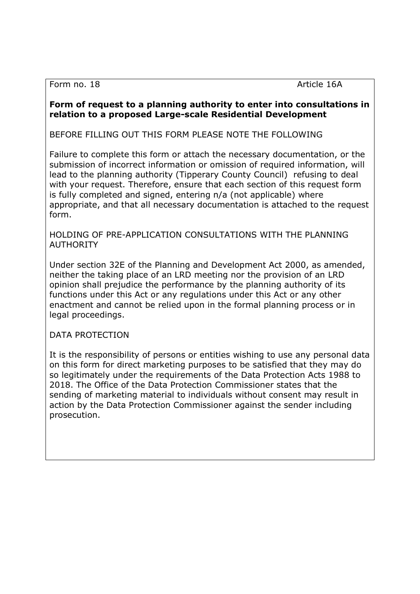Form no. 18 Article 16A

## Form of request to a planning authority to enter into consultations in relation to a proposed Large-scale Residential Development

BEFORE FILLING OUT THIS FORM PLEASE NOTE THE FOLLOWING

Failure to complete this form or attach the necessary documentation, or the submission of incorrect information or omission of required information, will lead to the planning authority (Tipperary County Council) refusing to deal with your request. Therefore, ensure that each section of this request form is fully completed and signed, entering n/a (not applicable) where appropriate, and that all necessary documentation is attached to the request form.

HOLDING OF PRE-APPLICATION CONSULTATIONS WITH THE PLANNING **AUTHORITY** 

Under section 32E of the Planning and Development Act 2000, as amended, neither the taking place of an LRD meeting nor the provision of an LRD opinion shall prejudice the performance by the planning authority of its functions under this Act or any regulations under this Act or any other enactment and cannot be relied upon in the formal planning process or in legal proceedings.

DATA PROTECTION

It is the responsibility of persons or entities wishing to use any personal data on this form for direct marketing purposes to be satisfied that they may do so legitimately under the requirements of the Data Protection Acts 1988 to 2018. The Office of the Data Protection Commissioner states that the sending of marketing material to individuals without consent may result in action by the Data Protection Commissioner against the sender including prosecution.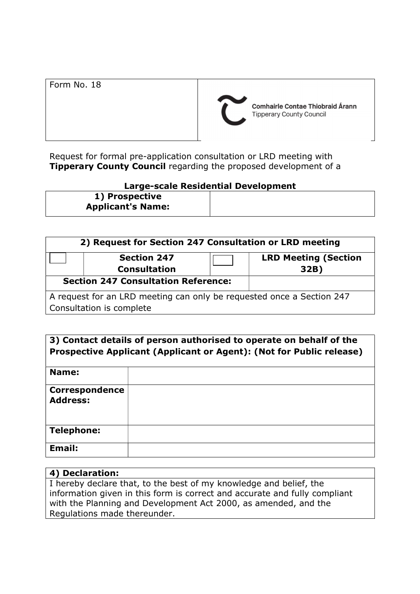Request for formal pre-application consultation or LRD meeting with **Tipperary County Council** regarding the proposed development of a

## Large-scale Residential Development

1) Prospective Applicant's Name:

| 2) Request for Section 247 Consultation or LRD meeting                |                     |  |                             |
|-----------------------------------------------------------------------|---------------------|--|-----------------------------|
|                                                                       | <b>Section 247</b>  |  | <b>LRD Meeting (Section</b> |
|                                                                       | <b>Consultation</b> |  | 32B)                        |
| <b>Section 247 Consultation Reference:</b>                            |                     |  |                             |
| A request for an LRD meeting can only be requested once a Section 247 |                     |  |                             |
| Consultation is complete                                              |                     |  |                             |

| 3) Contact details of person authorised to operate on behalf of the<br>Prospective Applicant (Applicant or Agent): (Not for Public release) |  |  |
|---------------------------------------------------------------------------------------------------------------------------------------------|--|--|
| Name:                                                                                                                                       |  |  |
| <b>Correspondence</b><br><b>Address:</b>                                                                                                    |  |  |
| <b>Telephone:</b>                                                                                                                           |  |  |
| Email:                                                                                                                                      |  |  |

## 4) Declaration:

I hereby declare that, to the best of my knowledge and belief, the information given in this form is correct and accurate and fully compliant with the Planning and Development Act 2000, as amended, and the Regulations made thereunder.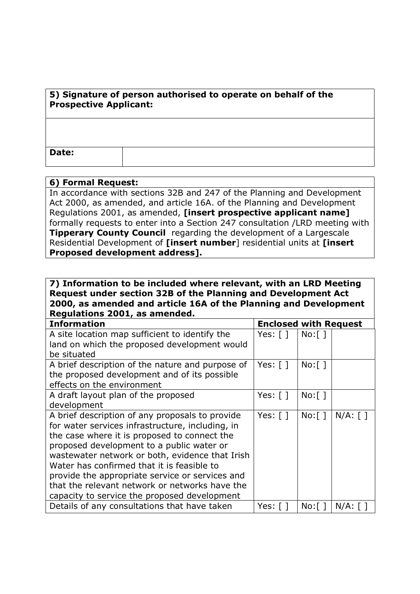| 5) Signature of person authorised to operate on behalf of the<br><b>Prospective Applicant:</b> |  |  |
|------------------------------------------------------------------------------------------------|--|--|
|                                                                                                |  |  |
| Date:                                                                                          |  |  |

## 6) Formal Request:

In accordance with sections 32B and 247 of the Planning and Development Act 2000, as amended, and article 16A. of the Planning and Development Regulations 2001, as amended, [insert prospective applicant name] formally requests to enter into a Section 247 consultation /LRD meeting with **Tipperary County Council** regarding the development of a Largescale Residential Development of [insert number] residential units at [insert Proposed development address].

7) Information to be included where relevant, with an LRD Meeting Request under section 32B of the Planning and Development Act 2000, as amended and article 16A of the Planning and Development Regulations 2001, as amended.

| <b>Information</b>                               | <b>Enclosed with Request</b> |         |            |
|--------------------------------------------------|------------------------------|---------|------------|
| A site location map sufficient to identify the   | Yes: [ ]                     | No: [ ] |            |
| land on which the proposed development would     |                              |         |            |
| be situated                                      |                              |         |            |
| A brief description of the nature and purpose of | Yes: $\lceil \rceil$         | No: [ ] |            |
| the proposed development and of its possible     |                              |         |            |
| effects on the environment                       |                              |         |            |
| A draft layout plan of the proposed              | Yes: $\lceil \; \rceil$      | No: [ ] |            |
| development                                      |                              |         |            |
| A brief description of any proposals to provide  | Yes: $\lceil \rceil$         | No: [ ] | $N/A:$ [ ] |
| for water services infrastructure, including, in |                              |         |            |
| the case where it is proposed to connect the     |                              |         |            |
| proposed development to a public water or        |                              |         |            |
| wastewater network or both, evidence that Irish  |                              |         |            |
| Water has confirmed that it is feasible to       |                              |         |            |
| provide the appropriate service or services and  |                              |         |            |
| that the relevant network or networks have the   |                              |         |            |
| capacity to service the proposed development     |                              |         |            |
| Details of any consultations that have taken     | Yes: [ ]                     | No: [ ] | $N/A$ :    |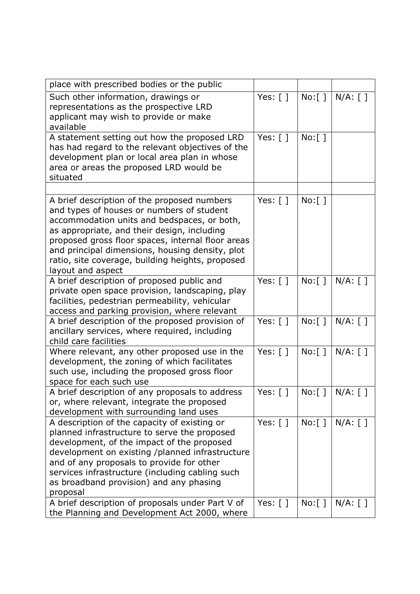| place with prescribed bodies or the public                                                                                                                                                                                                                                                                                                                              |                         |                         |            |
|-------------------------------------------------------------------------------------------------------------------------------------------------------------------------------------------------------------------------------------------------------------------------------------------------------------------------------------------------------------------------|-------------------------|-------------------------|------------|
| Such other information, drawings or<br>representations as the prospective LRD<br>applicant may wish to provide or make<br>available                                                                                                                                                                                                                                     | Yes: [ ]                | $No:$ [ ]               | $N/A:$ [ ] |
| A statement setting out how the proposed LRD<br>has had regard to the relevant objectives of the<br>development plan or local area plan in whose<br>area or areas the proposed LRD would be<br>situated                                                                                                                                                                 | Yes: $[ ]$              | $No:$ [ ]               |            |
|                                                                                                                                                                                                                                                                                                                                                                         |                         |                         |            |
| A brief description of the proposed numbers<br>and types of houses or numbers of student<br>accommodation units and bedspaces, or both,<br>as appropriate, and their design, including<br>proposed gross floor spaces, internal floor areas<br>and principal dimensions, housing density, plot<br>ratio, site coverage, building heights, proposed<br>layout and aspect | Yes: $\lceil \; \rceil$ | $No:$ [ ]               |            |
| A brief description of proposed public and<br>private open space provision, landscaping, play<br>facilities, pedestrian permeability, vehicular<br>access and parking provision, where relevant                                                                                                                                                                         | Yes: $\lceil \rceil$    | $No:$ $\lceil$ $\rceil$ | $N/A:$ [ ] |
| A brief description of the proposed provision of<br>ancillary services, where required, including<br>child care facilities                                                                                                                                                                                                                                              | Yes: $\lceil \rceil$    | No: [ ]                 | $N/A:$ [ ] |
| Where relevant, any other proposed use in the<br>development, the zoning of which facilitates<br>such use, including the proposed gross floor<br>space for each such use                                                                                                                                                                                                | Yes: $[ ]$              | $No:$ [ ]               | $N/A$ : [] |
| A brief description of any proposals to address<br>or, where relevant, integrate the proposed<br>development with surrounding land uses                                                                                                                                                                                                                                 | Yes: $[ ]$              | No: [ ]                 | $N/A:$ [ ] |
| A description of the capacity of existing or<br>planned infrastructure to serve the proposed<br>development, of the impact of the proposed<br>development on existing /planned infrastructure<br>and of any proposals to provide for other<br>services infrastructure (including cabling such<br>as broadband provision) and any phasing<br>proposal                    | Yes: $[ ]$              | $No:$ $\lceil$ $\rceil$ | $N/A:$ [ ] |
| A brief description of proposals under Part V of<br>the Planning and Development Act 2000, where                                                                                                                                                                                                                                                                        | Yes: $[ ]$              | $No:$ [ ]               | $N/A:$ [ ] |